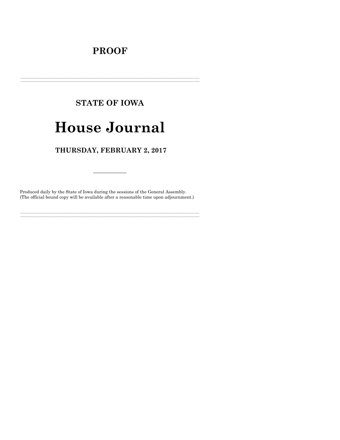## **PROOF**

# **STATE OF IOWA**

# **House Journal**

## THURSDAY, FEBRUARY 2, 2017

Produced daily by the State of Iowa during the sessions of the General Assembly. (The official bound copy will be available after a reasonable time upon adjournment.)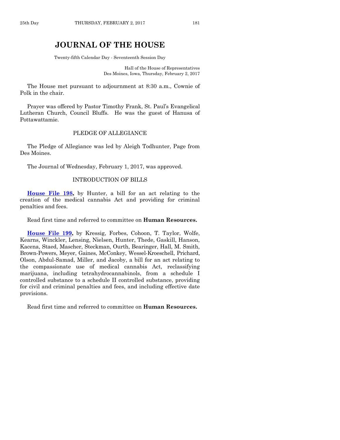### **JOURNAL OF THE HOUSE**

Twenty-fifth Calendar Day - Seventeenth Session Day

Hall of the House of Representatives Des Moines, Iowa, Thursday, February 2, 2017

The House met pursuant to adjournment at 8:30 a.m., Cownie of Polk in the chair.

Prayer was offered by Pastor Timothy Frank, St. Paul's Evangelical Lutheran Church, Council Bluffs. He was the guest of Hanusa of Pottawattamie.

#### PLEDGE OF ALLEGIANCE

The Pledge of Allegiance was led by Aleigh Todhunter, Page from Des Moines.

The Journal of Wednesday, February 1, 2017, was approved.

#### INTRODUCTION OF BILLS

**[House File 198,](https://www.legis.iowa.gov/legislation/BillBook?ga=87&ba=HF198)** by Hunter, a bill for an act relating to the creation of the medical cannabis Act and providing for criminal penalties and fees.

Read first time and referred to committee on **Human Resources.**

**[House File 199,](https://www.legis.iowa.gov/legislation/BillBook?ga=87&ba=HF199)** by Kressig, Forbes, Cohoon, T. Taylor, Wolfe, Kearns, Winckler, Lensing, Nielsen, Hunter, Thede, Gaskill, Hanson, Kacena, Staed, Mascher, Steckman, Ourth, Bearinger, Hall, M. Smith, Brown-Powers, Meyer, Gaines, McConkey, Wessel-Kroeschell, Prichard, Olson, Abdul-Samad, Miller, and Jacoby, a bill for an act relating to the compassionate use of medical cannabis Act, reclassifying marijuana, including tetrahydrocannabinols, from a schedule I controlled substance to a schedule II controlled substance, providing for civil and criminal penalties and fees, and including effective date provisions.

Read first time and referred to committee on **Human Resources.**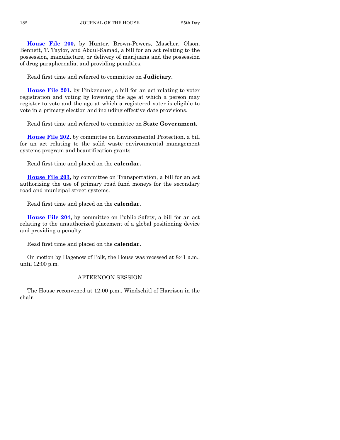**[House File 200,](https://www.legis.iowa.gov/legislation/BillBook?ga=87&ba=HF200)** by Hunter, Brown-Powers, Mascher, Olson, Bennett, T. Taylor, and Abdul-Samad, a bill for an act relating to the possession, manufacture, or delivery of marijuana and the possession of drug paraphernalia, and providing penalties.

Read first time and referred to committee on **Judiciary.**

**[House File 201,](https://www.legis.iowa.gov/legislation/BillBook?ga=87&ba=HF201)** by Finkenauer, a bill for an act relating to voter registration and voting by lowering the age at which a person may register to vote and the age at which a registered voter is eligible to vote in a primary election and including effective date provisions.

Read first time and referred to committee on **State Government.**

**[House File 202,](https://www.legis.iowa.gov/legislation/BillBook?ga=87&ba=HF202)** by committee on Environmental Protection, a bill for an act relating to the solid waste environmental management systems program and beautification grants.

Read first time and placed on the **calendar.**

**[House File 203,](https://www.legis.iowa.gov/legislation/BillBook?ga=87&ba=HF203)** by committee on Transportation, a bill for an act authorizing the use of primary road fund moneys for the secondary road and municipal street systems.

Read first time and placed on the **calendar.**

**[House File 204,](https://www.legis.iowa.gov/legislation/BillBook?ga=87&ba=HF204)** by committee on Public Safety, a bill for an act relating to the unauthorized placement of a global positioning device and providing a penalty.

Read first time and placed on the **calendar.**

On motion by Hagenow of Polk, the House was recessed at 8:41 a.m., until 12:00 p.m.

#### AFTERNOON SESSION

The House reconvened at 12:00 p.m., Windschitl of Harrison in the chair.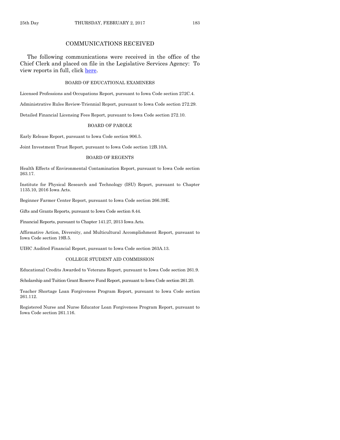#### COMMUNICATIONS RECEIVED

The following communications were received in the office of the Chief Clerk and placed on file in the Legislative Services Agency: To view reports in full, click [here.](https://www.legis.iowa.gov/publications/otherResources/reportsFiled)

#### BOARD OF EDUCATIONAL EXAMINERS

Licensed Professions and Occupations Report, pursuant to Iowa Code section 272C.4.

Administrative Rules Review-Triennial Report, pursuant to Iowa Code section 272.29.

Detailed Financial Licensing Fees Report, pursuant to Iowa Code section 272.10.

#### BOARD OF PAROLE

Early Release Report, pursuant to Iowa Code section 906.5.

Joint Investment Trust Report, pursuant to Iowa Code section 12B.10A.

#### BOARD OF REGENTS

Health Effects of Environmental Contamination Report, pursuant to Iowa Code section 263.17.

Institute for Physical Research and Technology (ISU) Report, pursuant to Chapter 1135.10, 2016 Iowa Acts.

Beginner Farmer Center Report, pursuant to Iowa Code section 266.39E.

Gifts and Grants Reports, pursuant to Iowa Code section 8.44.

Financial Reports, pursuant to Chapter 141.27, 2013 Iowa Acts.

Affirmative Action, Diversity, and Multicultural Accomplishment Report, pursuant to Iowa Code section 19B.5.

UIHC Audited Financial Report, pursuant to Iowa Code section 263A.13.

#### COLLEGE STUDENT AID COMMISSION

Educational Credits Awarded to Veterans Report, pursuant to Iowa Code section 261.9.

Scholarship and Tuition Grant Reserve Fund Report, pursuant to Iowa Code section 261.20.

Teacher Shortage Loan Forgiveness Program Report, pursuant to Iowa Code section 261.112.

Registered Nurse and Nurse Educator Loan Forgiveness Program Report, pursuant to Iowa Code section 261.116.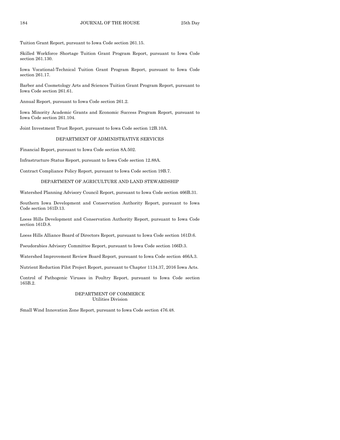Tuition Grant Report, pursuant to Iowa Code section 261.15.

Skilled Workforce Shortage Tuition Grant Program Report, pursuant to Iowa Code section 261.130.

Iowa Vocational-Technical Tuition Grant Program Report, pursuant to Iowa Code section 261.17.

Barber and Cosmetology Arts and Sciences Tuition Grant Program Report, pursuant to Iowa Code section 261.61.

Annual Report, pursuant to Iowa Code section 261.2.

Iowa Minority Academic Grants and Economic Success Program Report, pursuant to Iowa Code section 261.104.

Joint Investment Trust Report, pursuant to Iowa Code section 12B.10A.

#### DEPARTMENT OF ADMINISTRATIVE SERVICES

Financial Report, pursuant to Iowa Code section 8A.502.

Infrastructure Status Report, pursuant to Iowa Code section 12.88A.

Contract Compliance Policy Report, pursuant to Iowa Code section 19B.7.

#### DEPARTMENT OF AGRICULTURE AND LAND STEWARDSHIP

Watershed Planning Advisory Council Report, pursuant to Iowa Code section 466B.31.

Southern Iowa Development and Conservation Authority Report, pursuant to Iowa Code section 161D.13.

Loess Hills Development and Conservation Authority Report, pursuant to Iowa Code section 161D.8.

Loess Hills Alliance Board of Directors Report, pursuant to Iowa Code section 161D.6.

Pseudorabies Advisory Committee Report, pursuant to Iowa Code section 166D.3.

Watershed Improvement Review Board Report, pursuant to Iowa Code section 466A.3.

Nutrient Reduction Pilot Project Report, pursuant to Chapter 1134.37, 2016 Iowa Acts.

Control of Pathogenic Viruses in Poultry Report, pursuant to Iowa Code section 165B.2.

#### DEPARTMENT OF COMMERCE Utilities Division

Small Wind Innovation Zone Report, pursuant to Iowa Code section 476.48.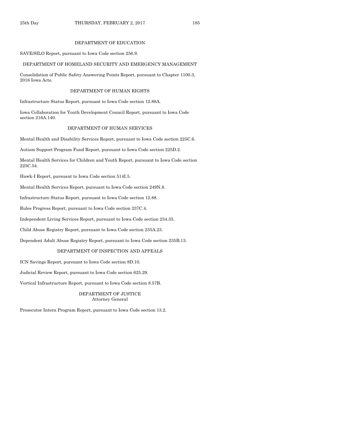#### DEPARTMENT OF EDUCATION

#### SAVE/SILO Report, pursuant to Iowa Code section 256.9.

#### DEPARTMENT OF HOMELAND SECURITY AND EMERGENCY MANAGEMENT

Consolidation of Public Safety Answering Points Report, pursuant to Chapter 1100.3, 2016 Iowa Acts.

#### DEPARTMENT OF HUMAN RIGHTS

Infrastructure Status Report, pursuant to Iowa Code section 12.88A.

Iowa Collaboration for Youth Development Council Report, pursuant to Iowa Code section 216A.140.

#### DEPARTMENT OF HUMAN SERVICES

Mental Health and Disability Services Report, pursuant to Iowa Code section 225C.6.

Autism Support Program Fund Report, pursuant to Iowa Code section 225D.2.

Mental Health Services for Children and Youth Report, pursuant to Iowa Code section 225C.54.

Hawk-I Report, pursuant to Iowa Code section 514I.5.

Mental Health Services Report, pursuant to Iowa Code section 249N.8.

Infrastructure Status Report, pursuant to Iowa Code section 12.88.

Rules Progress Report, pursuant to Iowa Code section 237C.4.

Independent Living Services Report, pursuant to Iowa Code section 234.35.

Child Abuse Registry Report, pursuant to Iowa Code section 235A.23.

Dependent Adult Abuse Registry Report, pursuant to Iowa Code section 235B.13.

#### DEPARTMENT OF INSPECTION AND APPEALS

ICN Savings Report, pursuant to Iowa Code section 8D.10.

Judicial Review Report, pursuant to Iowa Code section 625.29.

Vertical Infrastructure Report, pursuant to Iowa Code section 8.57B.

DEPARTMENT OF JUSTICE Attorney General

Prosecutor Intern Program Report, pursuant to Iowa Code section 13.2.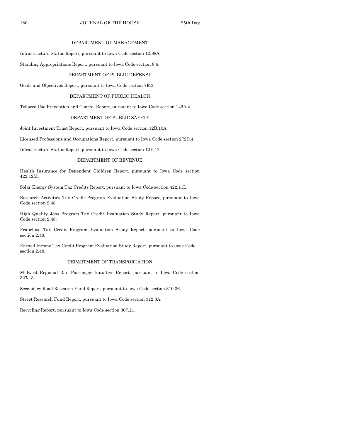#### DEPARTMENT OF MANAGEMENT

Infrastructure Status Report, pursuant to Iowa Code section 12.88A.

Standing Appropriations Report, pursuant to Iowa Code section 8.6.

#### DEPARTMENT OF PUBLIC DEFENSE

Goals and Objectives Report, pursuant to Iowa Code section 7E.3.

#### DEPARTMENT OF PUBLIC HEALTH

Tobacco Use Prevention and Control Report, pursuant to Iowa Code section 142A.4.

#### DEPARTMENT OF PUBLIC SAFETY

Joint Investment Trust Report, pursuant to Iowa Code section 12B.10A.

Licensed Professions and Occupations Report, pursuant to Iowa Code section 272C.4.

Infrastructure Status Report, pursuant to Iowa Code section 12E.12.

#### DEPARTMENT OF REVENUE

Health Insurance for Dependent Children Report, pursuant to Iowa Code section 422.12M.

Solar Energy System Tax Credits Report, pursuant to Iowa Code section 422.11L.

Research Activities Tax Credit Program Evaluation Study Report, pursuant to Iowa Code section 2.48.

High Quality Jobs Program Tax Credit Evaluation Study Report, pursuant to Iowa Code section 2.48.

Franchise Tax Credit Program Evaluation Study Report, pursuant to Iowa Code section 2.48.

Earned Income Tax Credit Program Evaluation Study Report, pursuant to Iowa Code section 2.48.

#### DEPARTMENT OF TRANSPORTATION

Midwest Regional Rail Passenger Initiative Report, pursuant to Iowa Code section 327J.3.

Secondary Road Research Fund Report, pursuant to Iowa Code section 310.36.

Street Research Fund Report, pursuant to Iowa Code section 312.3A.

Recycling Report, pursuant to Iowa Code section 307.21.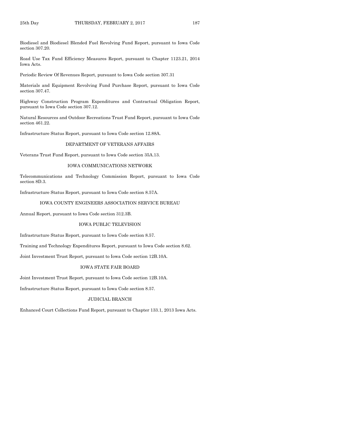Biodiesel and Biodiesel Blended Fuel Revolving Fund Report, pursuant to Iowa Code section 307.20.

Road Use Tax Fund Efficiency Measures Report, pursuant to Chapter 1123.21, 2014 Iowa Acts.

Periodic Review Of Revenues Report, pursuant to Iowa Code section 307.31

Materials and Equipment Revolving Fund Purchase Report, pursuant to Iowa Code section 307.47.

Highway Construction Program Expenditures and Contractual Obligation Report, pursuant to Iowa Code section 307.12.

Natural Resources and Outdoor Recreations Trust Fund Report, pursuant to Iowa Code section 461.22.

Infrastructure Status Report, pursuant to Iowa Code section 12.88A.

#### DEPARTMENT OF VETERANS AFFAIRS

Veterans Trust Fund Report, pursuant to Iowa Code section 35A.13.

#### IOWA COMMUNICATIONS NETWORK

Telecommunications and Technology Commission Report, pursuant to Iowa Code section 8D.3.

Infrastructure Status Report, pursuant to Iowa Code section 8.57A.

#### IOWA COUNTY ENGINEERS ASSOCIATION SERVICE BUREAU

Annual Report, pursuant to Iowa Code section 312.3B.

#### IOWA PUBLIC TELEVISION

Infrastructure Status Report, pursuant to Iowa Code section 8.57.

Training and Technology Expenditures Report, pursuant to Iowa Code section 8.62.

Joint Investment Trust Report, pursuant to Iowa Code section 12B.10A.

#### IOWA STATE FAIR BOARD

Joint Investment Trust Report, pursuant to Iowa Code section 12B.10A.

Infrastructure Status Report, pursuant to Iowa Code section 8.57.

#### JUDICIAL BRANCH

Enhanced Court Collections Fund Report, pursuant to Chapter 133.1, 2013 Iowa Acts.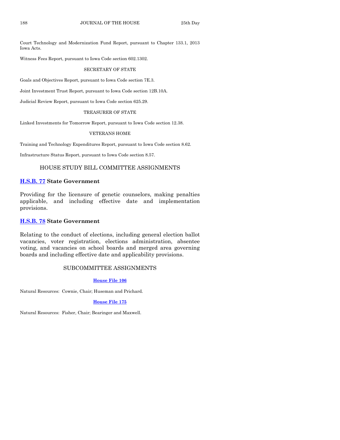Court Technology and Modernization Fund Report, pursuant to Chapter 133.1, 2013 Iowa Acts.

Witness Fees Report, pursuant to Iowa Code section 602.1302.

#### SECRETARY OF STATE

Goals and Objectives Report, pursuant to Iowa Code section 7E.3.

Joint Investment Trust Report, pursuant to Iowa Code section 12B.10A.

Judicial Review Report, pursuant to Iowa Code section 625.29.

#### TREASURER OF STATE

Linked Investments for Tomorrow Report, pursuant to Iowa Code section 12.38.

#### VETERANS HOME

Training and Technology Expenditures Report, pursuant to Iowa Code section 8.62.

Infrastructure Status Report, pursuant to Iowa Code section 8.57.

#### HOUSE STUDY BILL COMMITTEE ASSIGNMENTS

#### **[H.S.B. 77](https://www.legis.iowa.gov/legislation/BillBook?ga=87&ba=HSB77) State Government**

Providing for the licensure of genetic counselors, making penalties applicable, and including effective date and implementation provisions.

#### **[H.S.B. 78](https://www.legis.iowa.gov/legislation/BillBook?ga=87&ba=HSB78) State Government**

Relating to the conduct of elections, including general election ballot vacancies, voter registration, elections administration, absentee voting, and vacancies on school boards and merged area governing boards and including effective date and applicability provisions.

#### SUBCOMMITTEE ASSIGNMENTS

#### **[House File 106](https://www.legis.iowa.gov/legislation/BillBook?ga=87&ba=HF106)**

Natural Resources: Cownie, Chair; Huseman and Prichard.

#### **[House File 175](https://www.legis.iowa.gov/legislation/BillBook?ga=87&ba=HF175)**

Natural Resources: Fisher, Chair; Bearinger and Maxwell.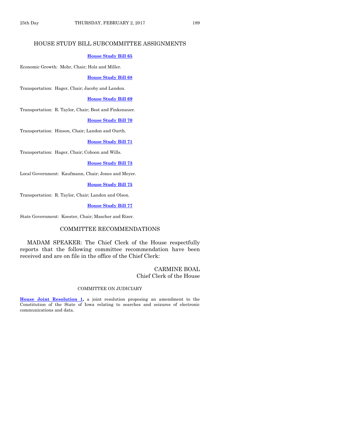#### HOUSE STUDY BILL SUBCOMMITTEE ASSIGNMENTS

#### **[House Study Bill](https://www.legis.iowa.gov/legislation/BillBook?ga=87&ba=HSB65) 65**

Economic Growth: Mohr, Chair; Holz and Miller.

#### **[House Study Bill 68](https://www.legis.iowa.gov/legislation/BillBook?ga=87&ba=HSB68)**

Transportation: Hager, Chair; Jacoby and Landon.

#### **[House Study Bill 69](https://www.legis.iowa.gov/legislation/BillBook?ga=87&ba=HSB69)**

Transportation: R. Taylor, Chair; Best and Finkenauer.

#### **[House Study Bill 70](https://www.legis.iowa.gov/legislation/BillBook?ga=87&ba=HSB70)**

Transportation: Hinson, Chair; Landon and Ourth.

#### **[House Study Bill](https://www.legis.iowa.gov/legislation/BillBook?ga=87&ba=HSB71) 71**

Transportation: Hager, Chair; Cohoon and Wills.

#### **[House Study Bill 73](https://www.legis.iowa.gov/legislation/BillBook?ga=87&ba=HSB73)**

Local Government: Kaufmann, Chair; Jones and Meyer.

#### **[House Study Bill 75](https://www.legis.iowa.gov/legislation/BillBook?ga=87&ba=HSB75)**

Transportation: R. Taylor, Chair; Landon and Olson.

#### **[House Study Bill 77](https://www.legis.iowa.gov/legislation/BillBook?ga=87&ba=HSB77)**

State Government: Koester, Chair; Mascher and Rizer.

#### COMMITTEE RECOMMENDATIONS

MADAM SPEAKER: The Chief Clerk of the House respectfully reports that the following committee recommendation have been received and are on file in the office of the Chief Clerk:

#### CARMINE BOAL Chief Clerk of the House

#### COMMITTEE ON JUDICIARY

**[House Joint Resolution 1,](https://www.legis.iowa.gov/legislation/BillBook?ga=87&ba=HJR1)** a joint resolution proposing an amendment to the Constitution of the State of Iowa relating to searches and seizures of electronic communications and data.